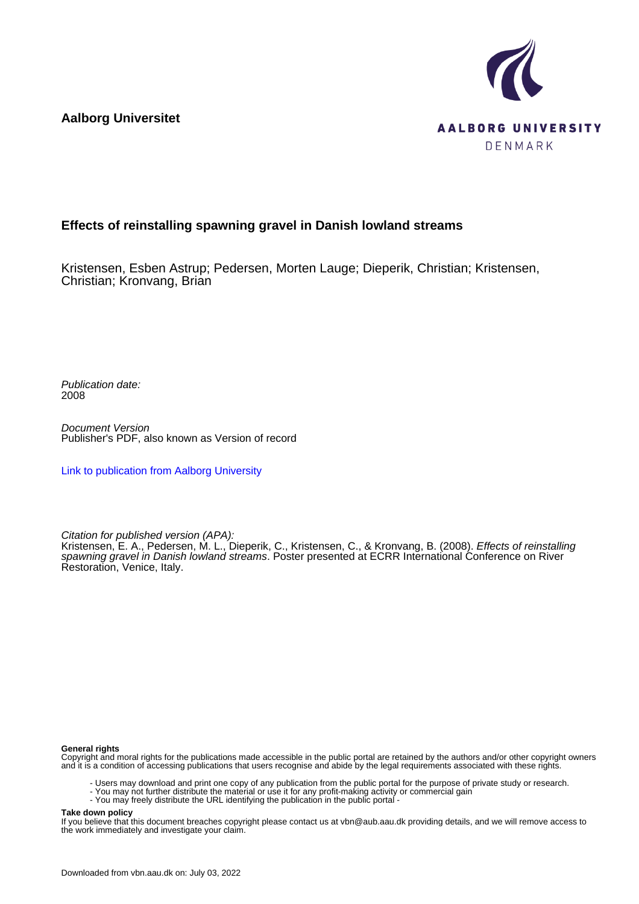**Aalborg Universitet**



#### **Effects of reinstalling spawning gravel in Danish lowland streams**

Kristensen, Esben Astrup; Pedersen, Morten Lauge; Dieperik, Christian; Kristensen, Christian; Kronvang, Brian

Publication date: 2008

Document Version Publisher's PDF, also known as Version of record

[Link to publication from Aalborg University](https://vbn.aau.dk/en/publications/11650b70-6939-11dd-92a2-000ea68e967b)

Citation for published version (APA):

Kristensen, E. A., Pedersen, M. L., Dieperik, C., Kristensen, C., & Kronvang, B. (2008). Effects of reinstalling spawning gravel in Danish lowland streams. Poster presented at ECRR International Conference on River Restoration, Venice, Italy.

#### **General rights**

Copyright and moral rights for the publications made accessible in the public portal are retained by the authors and/or other copyright owners and it is a condition of accessing publications that users recognise and abide by the legal requirements associated with these rights.

- Users may download and print one copy of any publication from the public portal for the purpose of private study or research.
- You may not further distribute the material or use it for any profit-making activity or commercial gain
- You may freely distribute the URL identifying the publication in the public portal -

#### **Take down policy**

If you believe that this document breaches copyright please contact us at vbn@aub.aau.dk providing details, and we will remove access to the work immediately and investigate your claim.